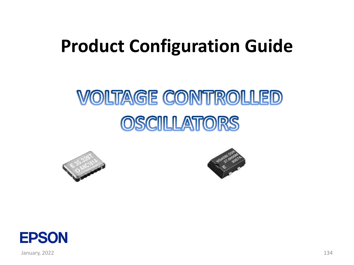# **Product Configuration Guide**

# *VOLTAGE CONTROLLED* OSCILLATORS







January, 2022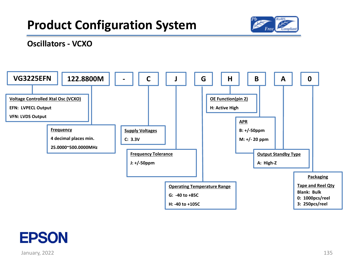



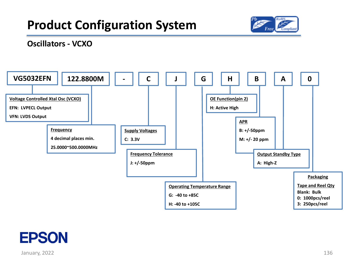



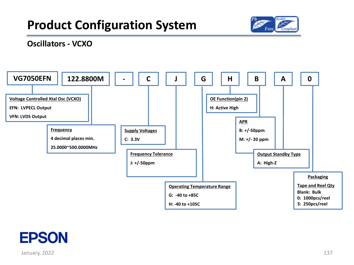



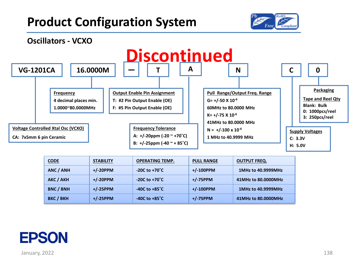



| <b>CODE</b>      | <b>STABILITY</b> | <b>OPERATING TEMP.</b>   | <b>PULL RANGE</b> | <b>OUTPUT FREQ.</b> |
|------------------|------------------|--------------------------|-------------------|---------------------|
| ANC / ANH        | $+/-20$ PPM      | $-20C$ to $+70^{\circ}C$ | $+/-100$ PPM      | 1MHz to 40.9999MHz  |
| AKC / AKH        | $+/-20$ PPM      | $-20C$ to $+70^{\circ}C$ | $+/-75$ PPM       | 41MHz to 80.0000MHz |
| <b>BNC / BNH</b> | $+/-25$ PPM      | -40C to $+85^{\circ}$ C  | $+/-100$ PPM      | 1MHz to 40.9999MHz  |
| <b>BKC / BKH</b> | $+/-25$ PPM      | -40C to $+85^{\circ}$ C  | $+/-75$ PPM       | 41MHz to 80.0000MHz |

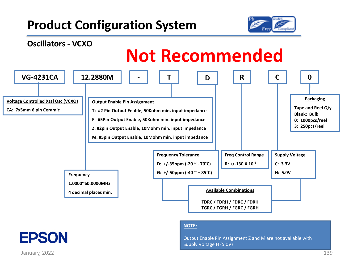



#### **NOTE:**

Output Enable Pin Assignment Z and M are not available with Supply Voltage H (5.0V)

January, 2022 139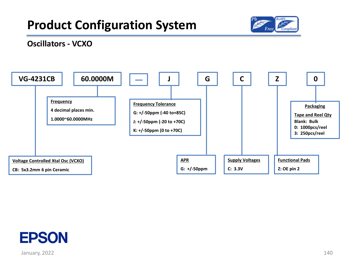



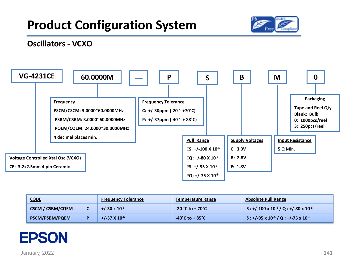

#### **Oscillators - VCXO**



| <b>CODE</b>             | <b>Frequency Tolerance</b> | <b>Temperature Range</b>                | <b>Absolute Pull Range</b>                           |  |  |
|-------------------------|----------------------------|-----------------------------------------|------------------------------------------------------|--|--|
| <b>CSCM / CSBM/CQEM</b> | $+/-30 \times 10^{-6}$     | $-20$ $^{\circ}$ C to + 70 $^{\circ}$ C | $S: +/-100 \times 10^{-6} / Q: +/-80 \times 10^{-6}$ |  |  |
| <b>PSCM/PSBM/PQEM</b>   | $+/-37$ X 10 <sup>-6</sup> | $-40^{\circ}$ C to + 85 $^{\circ}$ C    | $S: +/-95 \times 10^{-6} / Q: +/-75 \times 10^{-6}$  |  |  |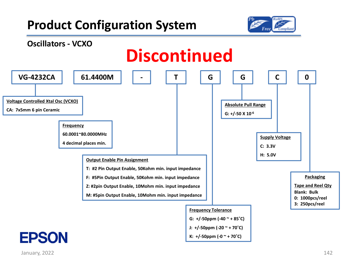

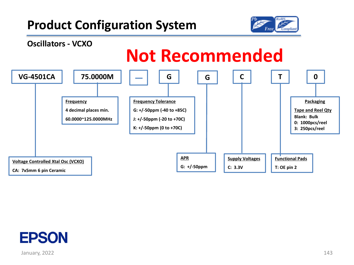



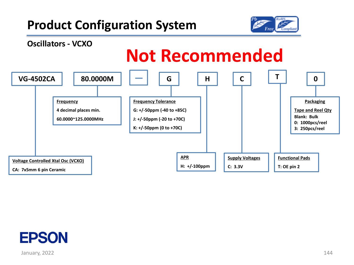



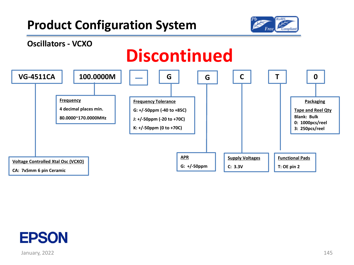



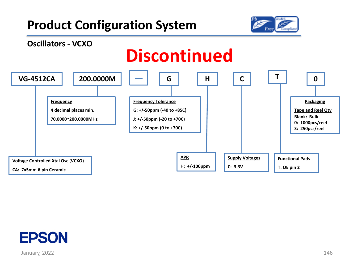



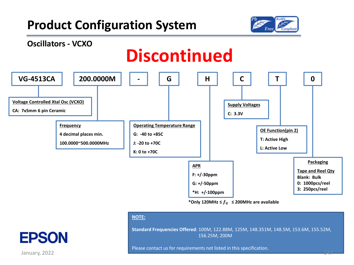



\*Only 120MHz  $\leq f_0 \leq$  200MHz are available

#### **NOTE:**

**Standard Frequencies Offered**: 100M, 122.88M, 125M, 148.351M, 148.5M, 153.6M, 155.52M, 156.25M, 200M

Please contact us for requirements not listed in this specification.

January, 2022 **147 - 147 - 148 - 149 - 149 - 149 - 149 - 149 - 149 - 149 - 149 - 149 - 147 - 147** - 147 - 147 - 1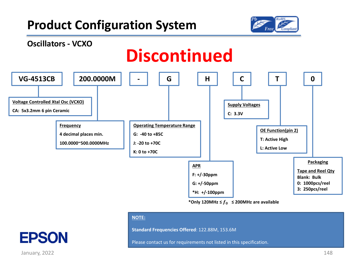



\*Only 120MHz  $\leq f_0 \leq$  200MHz are available

#### **NOTE:**

**Standard Frequencies Offered**: 122.88M, 153.6M

Please contact us for requirements not listed in this specification.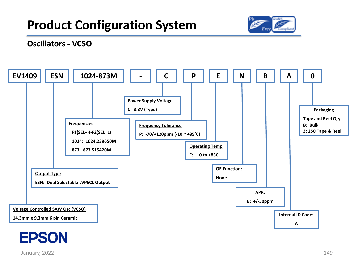



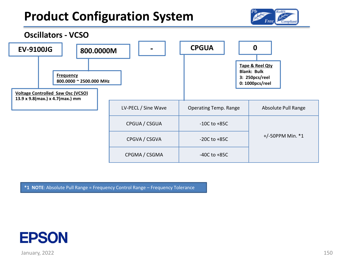



**\*1 NOTE**: Absolute Pull Range = Frequency Control Range – Frequency Tolerance

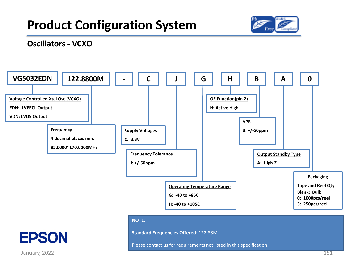

#### **Oscillators - VCXO**



#### **NOTE:**

**Standard Frequencies Offered**: 122.88M

Please contact us for requirements not listed in this specification.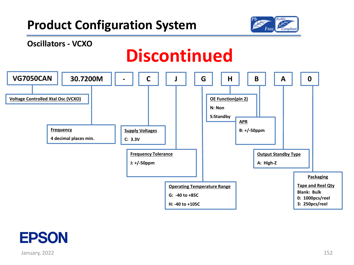



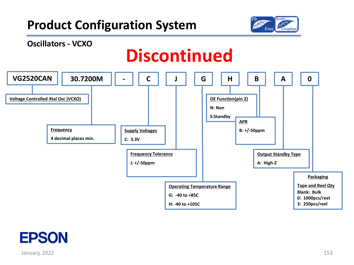



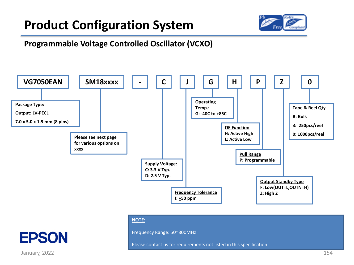

#### **Programmable Voltage Controlled Oscillator (VCXO)**



#### **NOTE:**

Frequency Range: 50~800MHz

Please contact us for requirements not listed in this specification.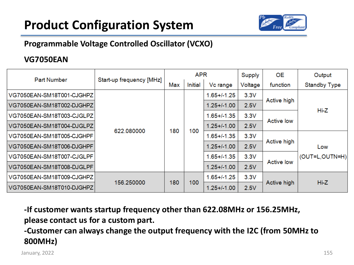

#### **Programmable Voltage Controlled Oscillator (VCXO)**

#### **VG7050EAN**

| <b>Part Number</b>        |                          |     | <b>APR</b> |                  | Supply  | <b>OE</b>         | Output                |
|---------------------------|--------------------------|-----|------------|------------------|---------|-------------------|-----------------------|
|                           | Start-up frequency [MHz] | Max | Initial    | Vc range         | Voltage | function          | <b>Standby Type</b>   |
| VG7050EAN-SM18T001-CJGHPZ |                          |     |            | $1.65 + 1.25$    | 3.3V    | Active high       |                       |
| VG7050EAN-SM18T002-DJGHPZ |                          | 180 |            | $1.25 + 1.00$    | 2.5V    |                   | $Hi-Z$                |
| VG7050EAN-SM18T003-CJGLPZ |                          |     | 100        | $1.65 + 1.35$    | 3.3V    | <b>Active low</b> |                       |
| VG7050EAN-SM18T004-DJGLPZ | 622.080000               |     |            | $1.25 + 1.00$    | 2.5V    |                   |                       |
| VG7050EAN-SM18T005-CJGHPF |                          |     |            | $1.65 + 1.35$    | 3.3V    |                   | Low<br>(OUT=L,OUTN=H) |
| VG7050EAN-SM18T006-DJGHPF |                          |     |            | $1.25 + (-1.00)$ | 2.5V    | Active high       |                       |
| VG7050EAN-SM18T007-CJGLPF |                          |     |            | $1.65 + 1.35$    | 3.3V    | <b>Active low</b> |                       |
| VG7050EAN-SM18T008-DJGLPF |                          |     |            | $1.25 + (-1.00)$ | 2.5V    |                   |                       |
| VG7050EAN-SM18T009-CJGHPZ | 156.250000               | 180 | 100        | $1.65 + 1.25$    | 3.3V    |                   | Hi-Z                  |
| VG7050EAN-SM18T010-DJGHPZ |                          |     |            | $1.25 + (-1.00)$ | 2.5V    | Active high       |                       |

**-If customer wants startup frequency other than 622.08MHz or 156.25MHz, please contact us for a custom part.** 

**-Customer can always change the output frequency with the I2C (from 50MHz to 800MHz)**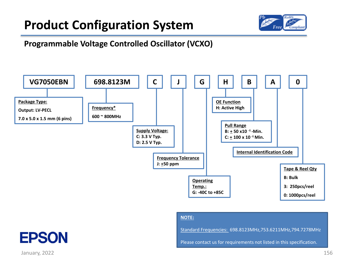

#### **Programmable Voltage Controlled Oscillator (VCXO)**



#### **NOTE:**

Standard Frequencies: 698.8123MHz,753.6211MHz,794.7278MHz

Please contact us for requirements not listed in this specification.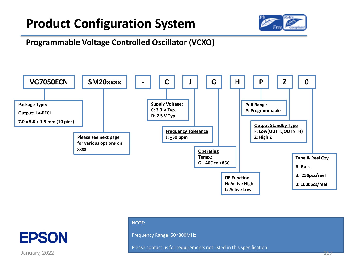

#### **Programmable Voltage Controlled Oscillator (VCXO)**





Frequency Range: 50~800MHz

Please contact us for requirements not listed in this specification.